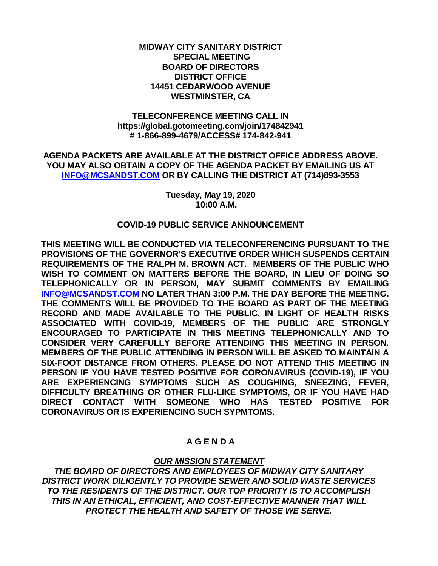### **MIDWAY CITY SANITARY DISTRICT SPECIAL MEETING BOARD OF DIRECTORS DISTRICT OFFICE 14451 CEDARWOOD AVENUE WESTMINSTER, CA**

## **TELECONFERENCE MEETING CALL IN https://global.gotomeeting.com/join/174842941 # 1-866-899-4679/ACCESS# 174-842-941**

**AGENDA PACKETS ARE AVAILABLE AT THE DISTRICT OFFICE ADDRESS ABOVE. YOU MAY ALSO OBTAIN A COPY OF THE AGENDA PACKET BY EMAILING US AT [INFO@MCSANDST.COM](mailto:INFO@MCSANDST.COM) OR BY CALLING THE DISTRICT AT (714)893-3553**

> **Tuesday, May 19, 2020 10:00 A.M.**

## **COVID-19 PUBLIC SERVICE ANNOUNCEMENT**

**THIS MEETING WILL BE CONDUCTED VIA TELECONFERENCING PURSUANT TO THE PROVISIONS OF THE GOVERNOR'S EXECUTIVE ORDER WHICH SUSPENDS CERTAIN REQUIREMENTS OF THE RALPH M. BROWN ACT. MEMBERS OF THE PUBLIC WHO WISH TO COMMENT ON MATTERS BEFORE THE BOARD, IN LIEU OF DOING SO TELEPHONICALLY OR IN PERSON, MAY SUBMIT COMMENTS BY EMAILING [INFO@MCSANDST.COM](mailto:INFO@MCSANDST.COM) NO LATER THAN 3:00 P.M. THE DAY BEFORE THE MEETING. THE COMMENTS WILL BE PROVIDED TO THE BOARD AS PART OF THE MEETING RECORD AND MADE AVAILABLE TO THE PUBLIC. IN LIGHT OF HEALTH RISKS ASSOCIATED WITH COVID-19, MEMBERS OF THE PUBLIC ARE STRONGLY ENCOURAGED TO PARTICIPATE IN THIS MEETING TELEPHONICALLY AND TO CONSIDER VERY CAREFULLY BEFORE ATTENDING THIS MEETING IN PERSON. MEMBERS OF THE PUBLIC ATTENDING IN PERSON WILL BE ASKED TO MAINTAIN A SIX-FOOT DISTANCE FROM OTHERS. PLEASE DO NOT ATTEND THIS MEETING IN PERSON IF YOU HAVE TESTED POSITIVE FOR CORONAVIRUS (COVID-19), IF YOU ARE EXPERIENCING SYMPTOMS SUCH AS COUGHING, SNEEZING, FEVER, DIFFICULTY BREATHING OR OTHER FLU-LIKE SYMPTOMS, OR IF YOU HAVE HAD DIRECT CONTACT WITH SOMEONE WHO HAS TESTED POSITIVE FOR CORONAVIRUS OR IS EXPERIENCING SUCH SYPMTOMS.** 

# **A G E N D A**

# *OUR MISSION STATEMENT*

*THE BOARD OF DIRECTORS AND EMPLOYEES OF MIDWAY CITY SANITARY DISTRICT WORK DILIGENTLY TO PROVIDE SEWER AND SOLID WASTE SERVICES TO THE RESIDENTS OF THE DISTRICT. OUR TOP PRIORITY IS TO ACCOMPLISH THIS IN AN ETHICAL, EFFICIENT, AND COST-EFFECTIVE MANNER THAT WILL PROTECT THE HEALTH AND SAFETY OF THOSE WE SERVE.*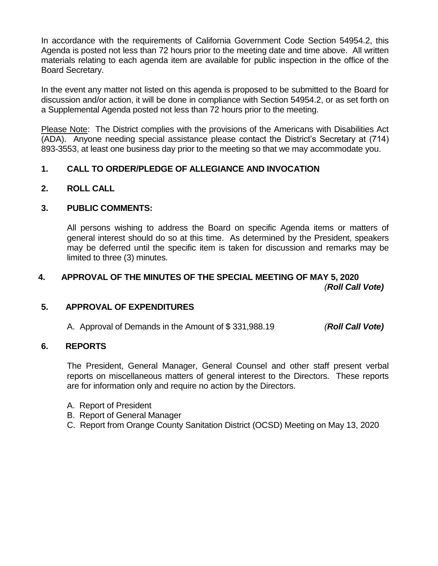In accordance with the requirements of California Government Code Section 54954.2, this Agenda is posted not less than 72 hours prior to the meeting date and time above. All written materials relating to each agenda item are available for public inspection in the office of the Board Secretary.

In the event any matter not listed on this agenda is proposed to be submitted to the Board for discussion and/or action, it will be done in compliance with Section 54954.2, or as set forth on a Supplemental Agenda posted not less than 72 hours prior to the meeting.

Please Note: The District complies with the provisions of the Americans with Disabilities Act (ADA). Anyone needing special assistance please contact the District's Secretary at (714) 893-3553, at least one business day prior to the meeting so that we may accommodate you.

## **1. CALL TO ORDER/PLEDGE OF ALLEGIANCE AND INVOCATION**

**2. ROLL CALL**

## **3. PUBLIC COMMENTS:**

All persons wishing to address the Board on specific Agenda items or matters of general interest should do so at this time. As determined by the President, speakers may be deferred until the specific item is taken for discussion and remarks may be limited to three (3) minutes.

## **4. APPROVAL OF THE MINUTES OF THE SPECIAL MEETING OF MAY 5, 2020** *(Roll Call Vote)*

## **5. APPROVAL OF EXPENDITURES**

A. Approval of Demands in the Amount of \$ 331,988.19 *(Roll Call Vote)*

## **6. REPORTS**

The President, General Manager, General Counsel and other staff present verbal reports on miscellaneous matters of general interest to the Directors. These reports are for information only and require no action by the Directors.

- A. Report of President
- B. Report of General Manager
- C. Report from Orange County Sanitation District (OCSD) Meeting on May 13, 2020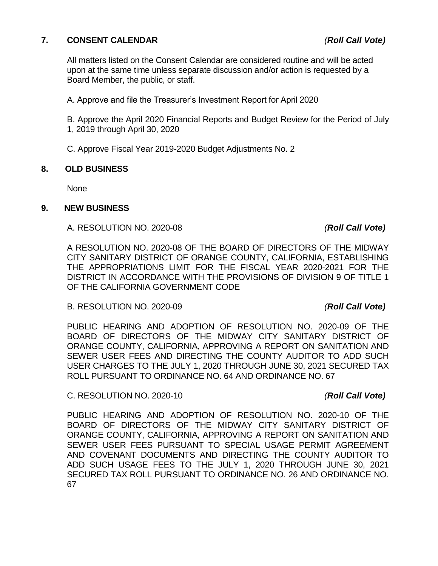## **7. CONSENT CALENDAR** *(Roll Call Vote)*

All matters listed on the Consent Calendar are considered routine and will be acted upon at the same time unless separate discussion and/or action is requested by a Board Member, the public, or staff.

A. Approve and file the Treasurer's Investment Report for April 2020

B. Approve the April 2020 Financial Reports and Budget Review for the Period of July 1, 2019 through April 30, 2020

C. Approve Fiscal Year 2019-2020 Budget Adjustments No. 2

## **8. OLD BUSINESS**

None

## **9. NEW BUSINESS**

## A. RESOLUTION NO. 2020-08 *(Roll Call Vote)*

A RESOLUTION NO. 2020-08 OF THE BOARD OF DIRECTORS OF THE MIDWAY CITY SANITARY DISTRICT OF ORANGE COUNTY, CALIFORNIA, ESTABLISHING THE APPROPRIATIONS LIMIT FOR THE FISCAL YEAR 2020-2021 FOR THE DISTRICT IN ACCORDANCE WITH THE PROVISIONS OF DIVISION 9 OF TITLE 1 OF THE CALIFORNIA GOVERNMENT CODE

B. RESOLUTION NO. 2020-09 *(Roll Call Vote)*

PUBLIC HEARING AND ADOPTION OF RESOLUTION NO. 2020-09 OF THE BOARD OF DIRECTORS OF THE MIDWAY CITY SANITARY DISTRICT OF ORANGE COUNTY, CALIFORNIA, APPROVING A REPORT ON SANITATION AND SEWER USER FEES AND DIRECTING THE COUNTY AUDITOR TO ADD SUCH USER CHARGES TO THE JULY 1, 2020 THROUGH JUNE 30, 2021 SECURED TAX ROLL PURSUANT TO ORDINANCE NO. 64 AND ORDINANCE NO. 67

C. RESOLUTION NO. 2020-10 *(Roll Call Vote)*

PUBLIC HEARING AND ADOPTION OF RESOLUTION NO. 2020-10 OF THE BOARD OF DIRECTORS OF THE MIDWAY CITY SANITARY DISTRICT OF ORANGE COUNTY, CALIFORNIA, APPROVING A REPORT ON SANITATION AND SEWER USER FEES PURSUANT TO SPECIAL USAGE PERMIT AGREEMENT AND COVENANT DOCUMENTS AND DIRECTING THE COUNTY AUDITOR TO ADD SUCH USAGE FEES TO THE JULY 1, 2020 THROUGH JUNE 30, 2021 SECURED TAX ROLL PURSUANT TO ORDINANCE NO. 26 AND ORDINANCE NO. 67